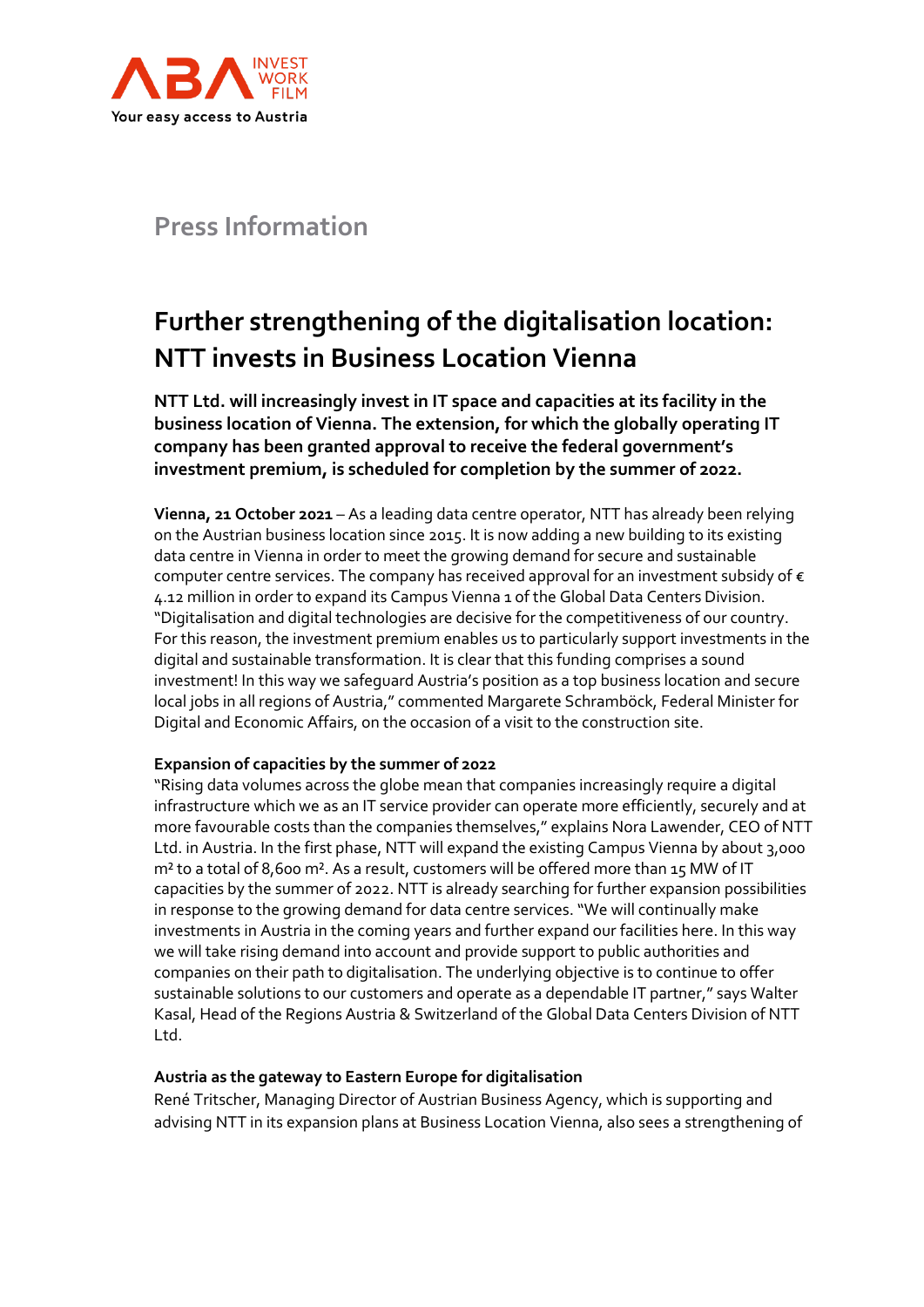

## **Press Information**

# **Further strengthening of the digitalisation location: NTT invests in Business Location Vienna**

**NTT Ltd. will increasingly invest in IT space and capacities at its facility in the business location of Vienna. The extension, for which the globally operating IT company has been granted approval to receive the federal government's investment premium, is scheduled for completion by the summer of 2022.**

**Vienna, 21 October 2021** – As a leading data centre operator, NTT has already been relying on the Austrian business location since 2015. It is now adding a new building to its existing data centre in Vienna in order to meet the growing demand for secure and sustainable computer centre services. The company has received approval for an investment subsidy of  $\epsilon$ 4.12 million in order to expand its Campus Vienna 1 of the Global Data Centers Division. "Digitalisation and digital technologies are decisive for the competitiveness of our country. For this reason, the investment premium enables us to particularly support investments in the digital and sustainable transformation. It is clear that this funding comprises a sound investment! In this way we safeguard Austria's position as a top business location and secure local jobs in all regions of Austria," commented Margarete Schramböck, Federal Minister for Digital and Economic Affairs, on the occasion of a visit to the construction site.

### **Expansion of capacities by the summer of 2022**

"Rising data volumes across the globe mean that companies increasingly require a digital infrastructure which we as an IT service provider can operate more efficiently, securely and at more favourable costs than the companies themselves," explains Nora Lawender, CEO of NTT Ltd. in Austria. In the first phase, NTT will expand the existing Campus Vienna by about 3,000 m² to a total of 8,600 m². As a result, customers will be offered more than 15 MW of IT capacities by the summer of 2022. NTT is already searching for further expansion possibilities in response to the growing demand for data centre services. "We will continually make investments in Austria in the coming years and further expand our facilities here. In this way we will take rising demand into account and provide support to public authorities and companies on their path to digitalisation. The underlying objective is to continue to offer sustainable solutions to our customers and operate as a dependable IT partner," says Walter Kasal, Head of the Regions Austria & Switzerland of the Global Data Centers Division of NTT Ltd.

### **Austria as the gateway to Eastern Europe for digitalisation**

René Tritscher, Managing Director of Austrian Business Agency, which is supporting and advising NTT in its expansion plans at Business Location Vienna, also sees a strengthening of